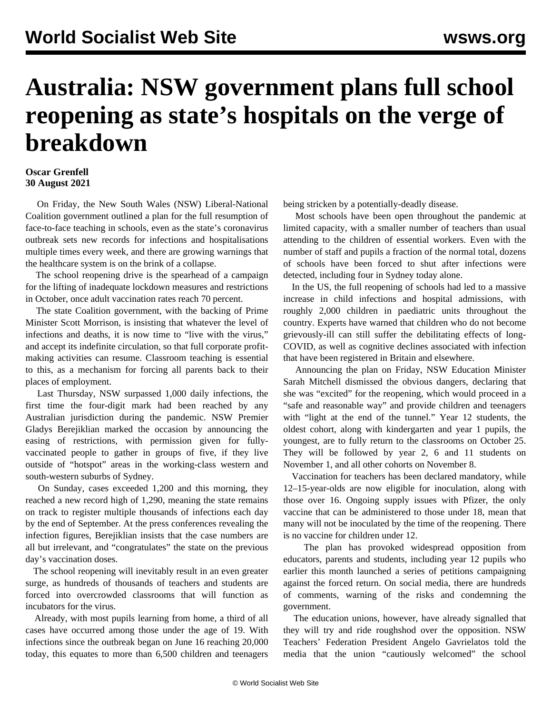## **Australia: NSW government plans full school reopening as state's hospitals on the verge of breakdown**

## **Oscar Grenfell 30 August 2021**

 On Friday, the New South Wales (NSW) Liberal-National Coalition government outlined a plan for the full resumption of face-to-face teaching in schools, even as the state's coronavirus outbreak sets new records for infections and hospitalisations multiple times every week, and there are growing warnings that the healthcare system is on the brink of a collapse.

 The school reopening drive is the spearhead of a campaign for the lifting of inadequate lockdown measures and restrictions in October, once adult vaccination rates reach 70 percent.

 The state Coalition government, with the backing of Prime Minister Scott Morrison, is insisting that whatever the level of infections and deaths, it is now time to "live with the virus," and accept its indefinite circulation, so that full corporate profitmaking activities can resume. Classroom teaching is essential to this, as a mechanism for forcing all parents back to their places of employment.

 Last Thursday, NSW surpassed 1,000 daily infections, the first time the four-digit mark had been reached by any Australian jurisdiction during the pandemic. NSW Premier Gladys Berejiklian marked the occasion by announcing the easing of restrictions, with permission given for fullyvaccinated people to gather in groups of five, if they live outside of "hotspot" areas in the working-class western and south-western suburbs of Sydney.

 On Sunday, cases exceeded 1,200 and this morning, they reached a new record high of 1,290, meaning the state remains on track to register multiple thousands of infections each day by the end of September. At the press conferences revealing the infection figures, Berejiklian insists that the case numbers are all but irrelevant, and "congratulates" the state on the previous day's vaccination doses.

 The school reopening will inevitably result in an even greater surge, as hundreds of thousands of teachers and students are forced into overcrowded classrooms that will function as incubators for the virus.

 Already, with most pupils learning from home, a third of all cases have occurred among those under the age of 19. With infections since the outbreak began on June 16 reaching 20,000 today, this equates to more than 6,500 children and teenagers being stricken by a potentially-deadly disease.

 Most schools have been open throughout the pandemic at limited capacity, with a smaller number of teachers than usual attending to the children of essential workers. Even with the number of staff and pupils a fraction of the normal total, dozens of schools have been forced to shut after infections were detected, including four in Sydney today alone.

 In the US, the full reopening of schools had led to a massive increase in child infections and hospital admissions, with roughly 2,000 children in paediatric units throughout the country. Experts have warned that children who do not become grievously-ill can still suffer the debilitating effects of long-COVID, as well as cognitive declines associated with infection that have been registered in Britain and elsewhere.

 Announcing the plan on Friday, NSW Education Minister Sarah Mitchell dismissed the obvious dangers, declaring that she was "excited" for the reopening, which would proceed in a "safe and reasonable way" and provide children and teenagers with "light at the end of the tunnel." Year 12 students, the oldest cohort, along with kindergarten and year 1 pupils, the youngest, are to fully return to the classrooms on October 25. They will be followed by year 2, 6 and 11 students on November 1, and all other cohorts on November 8.

 Vaccination for teachers has been declared mandatory, while 12–15-year-olds are now eligible for inoculation, along with those over 16. Ongoing supply issues with Pfizer, the only vaccine that can be administered to those under 18, mean that many will not be inoculated by the time of the reopening. There is no vaccine for children under 12.

 The plan has provoked widespread opposition from educators, parents and students, including year 12 pupils who earlier this month launched a series of petitions campaigning against the forced return. On social media, there are hundreds of comments, warning of the risks and condemning the government.

 The education unions, however, have already signalled that they will try and ride roughshod over the opposition. NSW Teachers' Federation President Angelo Gavrielatos told the media that the union "cautiously welcomed" the school